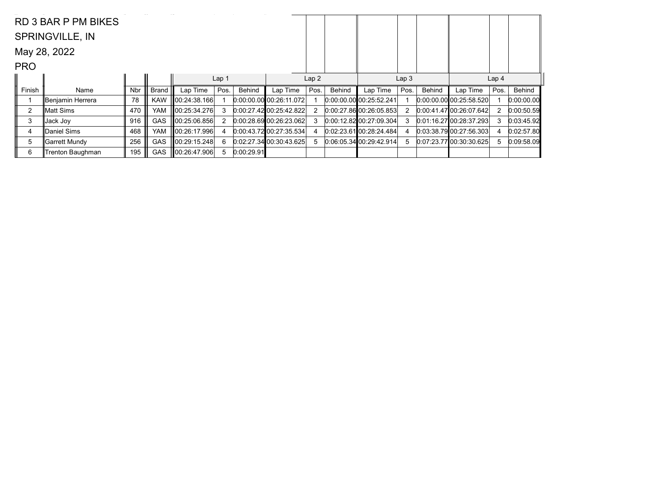|            | RD 3 BAR P PM BIKES     |            |              |               |                  |            |                           |      |        |                           |                  |        |                           |                  |            |
|------------|-------------------------|------------|--------------|---------------|------------------|------------|---------------------------|------|--------|---------------------------|------------------|--------|---------------------------|------------------|------------|
|            | <b>SPRINGVILLE, IN</b>  |            |              |               |                  |            |                           |      |        |                           |                  |        |                           |                  |            |
|            | May 28, 2022            |            |              |               |                  |            |                           |      |        |                           |                  |        |                           |                  |            |
| <b>PRO</b> |                         |            |              |               |                  |            |                           |      |        |                           |                  |        |                           |                  |            |
|            |                         |            |              |               | Lap <sub>1</sub> |            |                           | Lap2 |        |                           | Lap <sub>3</sub> |        |                           | Lap <sub>4</sub> |            |
| Finish     | Name                    | <b>Nbr</b> | <b>Brand</b> | Lap Time      | Pos.             | Behind     | Lap Time                  | Pos. | Behind | Lap Time                  | Pos.             | Behind | Lap Time                  | Pos.             | Behind     |
|            | Benjamin Herrera        | 78         | <b>KAW</b>   | ∥00:24:38.166 |                  |            | $0:00:00.00$ 00:26:11.072 |      |        | 0.00:00.00 00:25:52.241   |                  |        | $0.00.00.00$ 00:25:58.520 |                  | 0:00:00.00 |
| 2          | ∥Matt Sims              | 470        | <b>YAM</b>   | 100:25:34.276 | 3                |            | 0.00:27.42 00:25:42.822   |      |        | 0.00:27.8600:26:05.853    | 2                |        | 0:00:41.47 00:26:07.642   | 2                | 0:00:50.59 |
| 3          | ∥Jack Jo∨               | 916        | <b>GAS</b>   | 00:25:06.856  | 2                |            | 0.00.28.69 00.26.23.062   |      |        | $0:00:12.82$ 00:27:09.304 | 3                |        | 0.01:16.2700:28:37.293    | 3                | 0:03:45.92 |
| 4          | Daniel Sims             | 468        | <b>YAM</b>   | 100:26:17.996 | 4                |            | $0:00:43.72$ 00:27:35.534 |      |        | 0.0223.610022824.484      | 4                |        | 0:03:38.79 00:27:56.303   | 4                | 0:02:57.80 |
| 5          | ∥Garrett Mundy          | 256        | <b>GAS</b>   | 00:29:15.248  | 6                |            | 0.02:27.34 00:30.43.625   | 5    |        | 0.06.05.34 00.29.42.914   | 5                |        | 0.07.23.77 00:30:30.625   | 5                | 0.09:58.09 |
| 6          | <b>Trenton Baughman</b> | 195        | <b>GAS</b>   | ∥00:26:47.906 | 5                | 0:00:29.91 |                           |      |        |                           |                  |        |                           |                  |            |
|            |                         |            |              |               |                  |            |                           |      |        |                           |                  |        |                           |                  |            |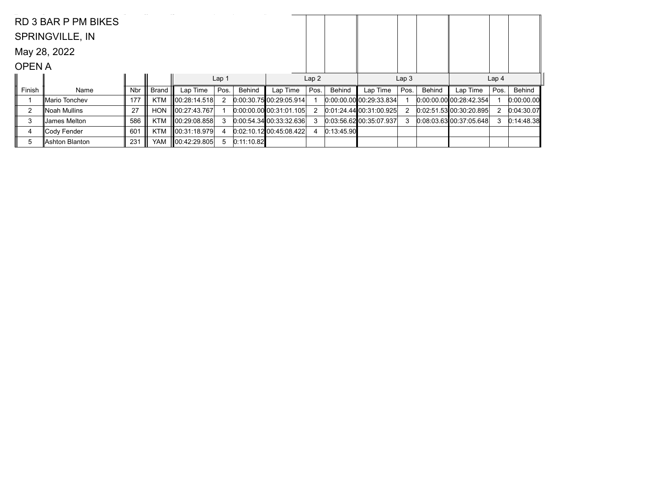|              | RD 3 BAR P PM BIKES    |            |              |               |                  |            |                                 |      |            |                         |                  |        |                           |                  |            |
|--------------|------------------------|------------|--------------|---------------|------------------|------------|---------------------------------|------|------------|-------------------------|------------------|--------|---------------------------|------------------|------------|
|              | <b>SPRINGVILLE, IN</b> |            |              |               |                  |            |                                 |      |            |                         |                  |        |                           |                  |            |
|              | May 28, 2022           |            |              |               |                  |            |                                 |      |            |                         |                  |        |                           |                  |            |
| <b>OPENA</b> |                        |            |              |               |                  |            |                                 |      |            |                         |                  |        |                           |                  |            |
|              |                        |            |              |               | Lap <sub>1</sub> |            |                                 | Lap2 |            |                         | Lap <sub>3</sub> |        |                           | Lap <sub>4</sub> |            |
| Finish       | Name                   | <b>Nbr</b> | <b>Brand</b> | Lap Time      | Pos.             | Behind     | Lap Time                        | Pos. | Behind     | Lap Time                | Pos.             | Behind | Lap Time                  | Pos.             | Behind     |
|              | ∥Mario Tonchev         | 177        | <b>KTM</b>   | 100:28:14.518 | 2                |            | 0:00:30.7500:29:05.914          |      |            | 0.00.00.00 00.29.33.834 |                  |        | $0:00:00.00$ 00:28:42.354 |                  | 0:00:00.00 |
| 2            | ∥Noah Mullins          | 27         | HON          | ∥00:27:43.767 |                  |            | $[0.00:00.00]$ $[00:31:01.105]$ | 2    |            | 0.01:24.4400:31:00.925  | 2                |        | 0.02:51.53 00:30:20.895   | 2                | 0:04:30.07 |
| 3            | James Melton           | 586        | <b>KTM</b>   | 00:29:08.858  | 3                |            | 0.00.54.34 00.33.32.636         | 3    |            | 0.03.56.62 00.35.07.937 | 3                |        | 0.08.03.63 00.37.05.648   | 3                | 0:14:48.38 |
| 4            | ∥Cody Fender           | 601        | <b>KTM</b>   | 00:31:18.979  | 4                |            | 0.02:10.12100:45:08.422         |      | 0:13:45.90 |                         |                  |        |                           |                  |            |
| 5            | Ashton Blanton         | 231        | YAM          | ∥00:42:29.805 | 5                | 0:11:10.82 |                                 |      |            |                         |                  |        |                           |                  |            |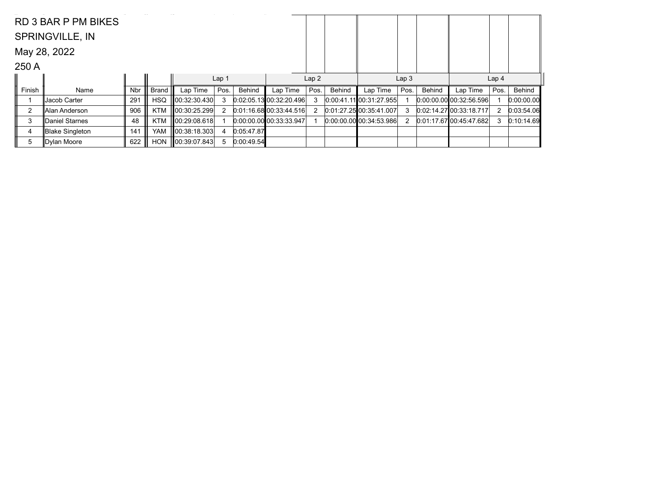|        | RD 3 BAR P PM BIKES    |     |              |               |                  |            |                                |       |        |                                 |                  |        |                           |                  |            |
|--------|------------------------|-----|--------------|---------------|------------------|------------|--------------------------------|-------|--------|---------------------------------|------------------|--------|---------------------------|------------------|------------|
|        | <b>SPRINGVILLE, IN</b> |     |              |               |                  |            |                                |       |        |                                 |                  |        |                           |                  |            |
|        | May 28, 2022           |     |              |               |                  |            |                                |       |        |                                 |                  |        |                           |                  |            |
| 250 A  |                        |     |              |               |                  |            |                                |       |        |                                 |                  |        |                           |                  |            |
|        |                        |     |              |               | Lap <sub>1</sub> |            |                                | Lap 2 |        |                                 | Lap <sub>3</sub> |        |                           | Lap <sub>4</sub> |            |
| Finish | Name                   | Nbr | <b>Brand</b> | Lap Time      | Pos.             | Behind     | Lap Time                       | Pos.  | Behind | Lap Time                        | Pos.             | Behind | Lap Time                  | Pos.             | Behind     |
|        | Jacob Carter           | 291 | <b>HSQ</b>   | 00:32:30.430  | 3                |            | 0.02:05.13 00:32:20.496        | 3     |        | 0.00.41.11 00.31.27.955         |                  |        | $0.00.00.00$ 00:32:56.596 |                  | 0:00:00.00 |
| 2      | ∥Alan Anderson         | 906 | <b>KTM</b>   | 100:30:25.299 | 2                |            | 0.01:16.68000:33:44.516        | 2     |        | 0.01:27.25 00:35.41.007         | 3                |        | 0.02:14.27 00:33:18.717   | 2                | 0:03:54.06 |
| 3      | Daniel Starnes         | 48  | <b>KTM</b>   | 00:29:08.618  |                  |            | $[0.00:00.00]$ $[0.33:33.947]$ |       |        | $[0:00:00.00]$ $[00:34:53.986]$ | 2                |        | $0:01:17.67$ 00:45:47.682 | 3                | 0:10:14.69 |
| 4      | Blake Singleton        | 141 | YAM          | 00:38:18.303  | 4                | 0:05:47.87 |                                |       |        |                                 |                  |        |                           |                  |            |
| 5      | Dylan Moore            | 622 | <b>HON</b>   | 00:39:07.843  | 5                | 0:00:49.54 |                                |       |        |                                 |                  |        |                           |                  |            |
|        |                        |     |              |               |                  |            |                                |       |        |                                 |                  |        |                           |                  |            |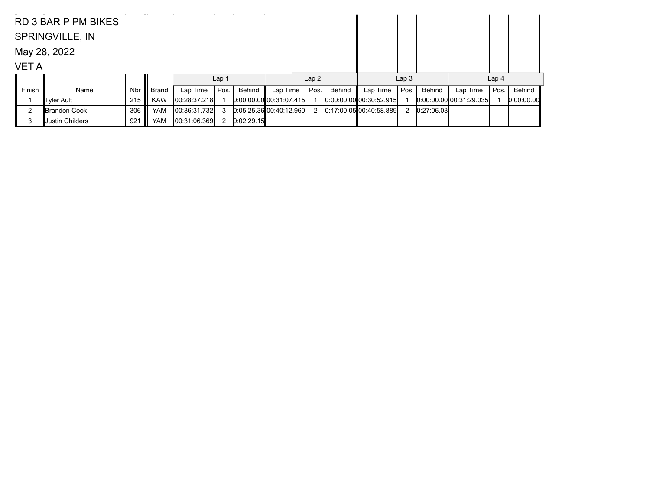|             | <b>RD 3 BAR P PM BIKES</b> |            |            |                    |                  |            |                         |      |        |                                 |                  |            |                         |                  |            |
|-------------|----------------------------|------------|------------|--------------------|------------------|------------|-------------------------|------|--------|---------------------------------|------------------|------------|-------------------------|------------------|------------|
|             | <b>SPRINGVILLE, IN</b>     |            |            |                    |                  |            |                         |      |        |                                 |                  |            |                         |                  |            |
|             | May 28, 2022               |            |            |                    |                  |            |                         |      |        |                                 |                  |            |                         |                  |            |
| <b>VETA</b> |                            |            |            |                    |                  |            |                         |      |        |                                 |                  |            |                         |                  |            |
|             |                            |            |            |                    | Lap <sub>1</sub> |            |                         | Lap2 |        |                                 | Lap <sub>3</sub> |            |                         | Lap <sub>4</sub> |            |
| Finish      | Name                       | <b>Nbr</b> | Brand      | Lap Time           | Pos.             | Behind     | Lap Time                | Pos. | Behind | Lap Time                        | Pos.             | Behind     | Lap Time                | Pos.             | Behind     |
|             | ∥Tyler Ault                | $215$      | <b>KAW</b> | 00:28:37.218       |                  |            | 0.00.00.00 00.31.07.415 |      |        | $[0:00:00.00]$ $[00:30:52.915]$ |                  |            | 0.00:00.00 00:31:29.035 |                  | 0:00:00.00 |
| ົ           | Brandon Cook               | 306        | YAM        | 00:36:31.732       | 3                |            | 0.05:25.36 00:40:12.960 | 2    |        | $0:17:00.05$ 00:40:58.889       | 2                | 0:27:06.03 |                         |                  |            |
| з           | ∣Justin Childers           | 921        | YAM        | $\ 00.31.06.369\ $ | 2                | 0:02:29.15 |                         |      |        |                                 |                  |            |                         |                  |            |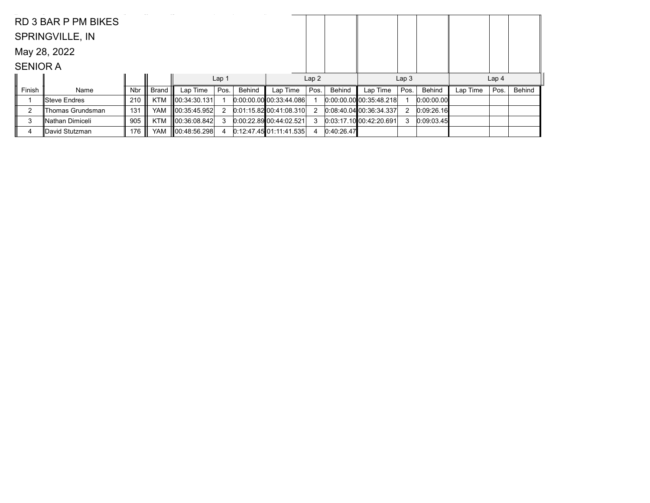|                 | RD 3 BAR P PM BIKES    |            |              |                    |                  |        |                                 |      |            |                           |                  |               |          |                  |        |
|-----------------|------------------------|------------|--------------|--------------------|------------------|--------|---------------------------------|------|------------|---------------------------|------------------|---------------|----------|------------------|--------|
|                 | <b>SPRINGVILLE, IN</b> |            |              |                    |                  |        |                                 |      |            |                           |                  |               |          |                  |        |
|                 | May 28, 2022           |            |              |                    |                  |        |                                 |      |            |                           |                  |               |          |                  |        |
| <b>SENIOR A</b> |                        |            |              |                    |                  |        |                                 |      |            |                           |                  |               |          |                  |        |
|                 |                        |            |              |                    | Lap <sub>1</sub> |        |                                 | Lap2 |            |                           | Lap <sub>3</sub> |               |          | Lap <sub>4</sub> |        |
| Finish          | Name                   | <b>Nbr</b> | <b>Brand</b> | Lap Time           | Pos.             | Behind | Lap Time                        | Pos. | Behind     | Lap Time                  | Pos.             | <b>Behind</b> | Lap Time | Pos.             | Behind |
|                 | ∥Steve Endres          | 210        | <b>KTM</b>   | 00:34:30.131       |                  |        | $[0:00:00.00]$ $[00:33:44.086]$ |      |            | $0:00:00.00$ 00:35:48.218 |                  | 0.00.00.00    |          |                  |        |
| ◠               | Thomas Grundsman       | 131        | <b>YAM</b>   | $\ 00:35:45.952\ $ |                  |        | 0.01:15.82 00:41:08.310         | 2    |            | 0.08:40.0400:36:34.337    |                  | 0:09:26.16    |          |                  |        |
| 3               | ∥Nathan Dimiceli       | 905        | <b>KTM</b>   | 00:36:08.842       |                  |        | 0.00.22.89 00.44.02.521         | 3    |            | 0:03:17.1000:42:20.691    |                  | 0:09:03.45    |          |                  |        |
| 4               | lDavid Stutzman        | 176        | <b>YAM</b>   | 00:48:56.298       |                  |        | $0:12:47.45$ 01:11:41.535       | 4    | 0:40:26.47 |                           |                  |               |          |                  |        |
|                 |                        |            |              |                    |                  |        |                                 |      |            |                           |                  |               |          |                  |        |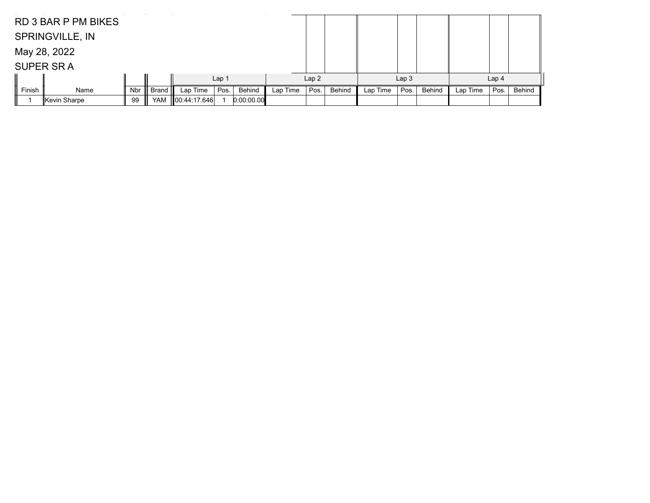|        | <b>RD 3 BAR P PM BIKES</b> |     |       |              |                  |            |          |      |        |          |                  |        |          |                  |        |
|--------|----------------------------|-----|-------|--------------|------------------|------------|----------|------|--------|----------|------------------|--------|----------|------------------|--------|
|        | <b>SPRINGVILLE, IN</b>     |     |       |              |                  |            |          |      |        |          |                  |        |          |                  |        |
|        | May 28, 2022               |     |       |              |                  |            |          |      |        |          |                  |        |          |                  |        |
|        | <b>SUPER SRA</b>           |     |       |              |                  |            |          |      |        |          |                  |        |          |                  |        |
|        |                            |     |       |              | Lap <sub>1</sub> |            |          | Lap2 |        |          | Lap <sub>3</sub> |        |          | Lap <sub>4</sub> |        |
| Finish | Name                       | Nbr | Brand | Lap Time     | Pos.             | Behind     | Lap Time | Pos. | Behind | Lap Time | Pos.             | Behind | Lap Time | Pos.             | Behind |
|        | ∥Kevin Sharpe              | 99  | YAM   | 00:44:17.646 |                  | 0:00:00.00 |          |      |        |          |                  |        |          |                  |        |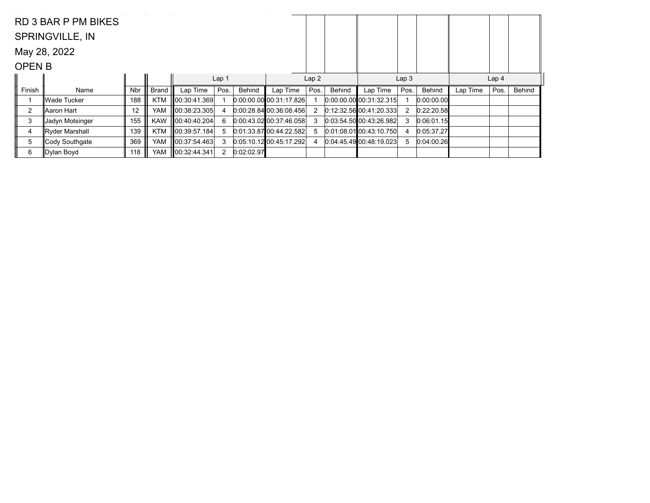|                | RD 3 BAR P PM BIKES    |            |              |                    |                  |            |                             |                |        |                           |                  |            |          |                  |        |
|----------------|------------------------|------------|--------------|--------------------|------------------|------------|-----------------------------|----------------|--------|---------------------------|------------------|------------|----------|------------------|--------|
|                | <b>SPRINGVILLE, IN</b> |            |              |                    |                  |            |                             |                |        |                           |                  |            |          |                  |        |
|                | May 28, 2022           |            |              |                    |                  |            |                             |                |        |                           |                  |            |          |                  |        |
| <b>OPEN B</b>  |                        |            |              |                    |                  |            |                             |                |        |                           |                  |            |          |                  |        |
|                |                        |            |              |                    | Lap <sub>1</sub> |            |                             | Lap2           |        |                           | Lap <sub>3</sub> |            |          | Lap <sub>4</sub> |        |
| Finish         | Name                   | <b>Nbr</b> | <b>Brand</b> | Lap Time           | Pos.             | Behind     | Lap Time                    | Pos.           | Behind | Lap Time                  | Pos.             | Behind     | Lap Time | Pos.             | Behind |
|                | ∥Wade Tucker           | 188        | <b>KTM</b>   | 00:30:41.369       |                  |            | 0.00.00.00 00.31:17.826     |                |        | $0:00:00.00$ 00:31:32.315 |                  | 0:00:00.00 |          |                  |        |
| $\overline{2}$ | ∥Aaron Hart            | 12         | <b>YAM</b>   | ∥00:38:23.305      |                  |            | 0.00:28.8400:36:08.456      | $\overline{2}$ |        | $0.12.32.56$ 00:41:20.333 |                  | 0:22:20.58 |          |                  |        |
| 3              | Jadyn Motsinger        | 155        | <b>KAW</b>   | 00:40:40.204       | 6                |            | 0.00:43.0200:37:46.058      | 3              |        | 0.03.54.50 00.43.26.982   |                  | 0:06:01.15 |          |                  |        |
| 4              | Ryder Marshall         | 139        | <b>KTM</b>   | $\ 00:39:57.184\ $ | 5                |            | $[0.01:33.87]$ 00:44:22.582 | 5              |        | $0.01:08.01$ 00:43:10.750 |                  | 0:05:37.27 |          |                  |        |
| 5              | Cody Southgate         | 369        | YAM          | 00:37:54.463       | 3                |            | 0.05:10.1200:45:17.292      | 4              |        | 0.04:45.49 00:48:19.023   |                  | 0:04:00.26 |          |                  |        |
| 6              | ∥Dylan Boyd            | 118        | <b>YAM</b>   | 00:32:44.341       | $\overline{2}$   | 0:02:02.97 |                             |                |        |                           |                  |            |          |                  |        |
|                |                        |            |              |                    |                  |            |                             |                |        |                           |                  |            |          |                  |        |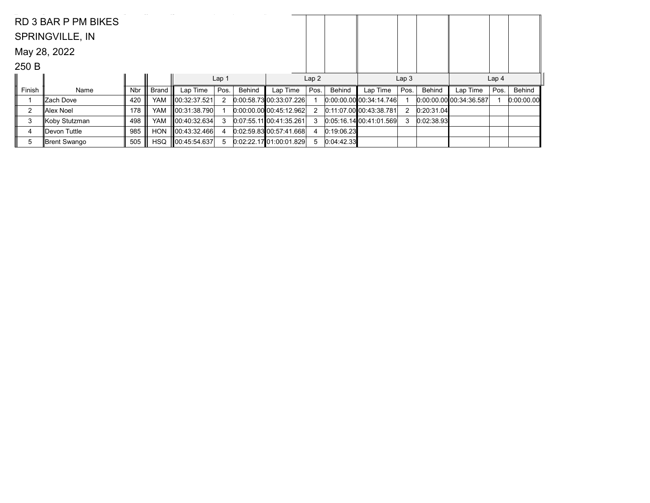|        | RD 3 BAR P PM BIKES    |            |              |              |                  |        |                           |      |            |                                 |                  |            |                         |                  |            |
|--------|------------------------|------------|--------------|--------------|------------------|--------|---------------------------|------|------------|---------------------------------|------------------|------------|-------------------------|------------------|------------|
|        | <b>SPRINGVILLE, IN</b> |            |              |              |                  |        |                           |      |            |                                 |                  |            |                         |                  |            |
|        | May 28, 2022           |            |              |              |                  |        |                           |      |            |                                 |                  |            |                         |                  |            |
| 250 B  |                        |            |              |              |                  |        |                           |      |            |                                 |                  |            |                         |                  |            |
|        |                        |            |              |              | Lap <sub>1</sub> |        |                           | Lap2 |            |                                 | Lap <sub>3</sub> |            |                         | Lap <sub>4</sub> |            |
| Finish | Name                   | <b>Nbr</b> | <b>Brand</b> | Lap Time     | Pos.             | Behind | Lap Time                  | Pos. | Behind     | Lap Time                        | Pos.             | Behind     | Lap Time                | Pos.             | Behind     |
|        | ∥Zach Dove             | 420        | YAM          | 00:32:37.521 | $\overline{2}$   |        | 0.00:58.73 00:33:07.226   |      |            | $[0:00:00.00]$ $[00:34:14.746]$ |                  |            | 0.00.00.00 00:34:36.587 |                  | 0:00:00.00 |
| 2      | Alex Noel              | 178        | YAM          | 00:31:38.790 |                  |        | $0:00:00.00$ 00:45:12.962 |      |            | 0:11:07.00 00:43:38.781         | 2                | 0:20:31.04 |                         |                  |            |
| 3      | Koby Stutzman          | 498        | YAM          | 00:40:32.634 | 3                |        | 0:07:55.11 00:41:35.261   | 3    |            | 0.05:16.1400:41.01.569          | 3                | 0:02:38.93 |                         |                  |            |
| 4      | ∥Devon Tuttle          | 985        | <b>HON</b>   | 00:43:32.466 | 4                |        | 0.02.59.83 00.57.41.668   |      | 0:19:06.23 |                                 |                  |            |                         |                  |            |
| 5      | ∥Brent Swango          | 505        | <b>HSQ</b>   | 00:45:54.637 | 5                |        | 0.02:22.1701:00:01.829    | 5    | 0:04:42.33 |                                 |                  |            |                         |                  |            |
|        |                        |            |              |              |                  |        |                           |      |            |                                 |                  |            |                         |                  |            |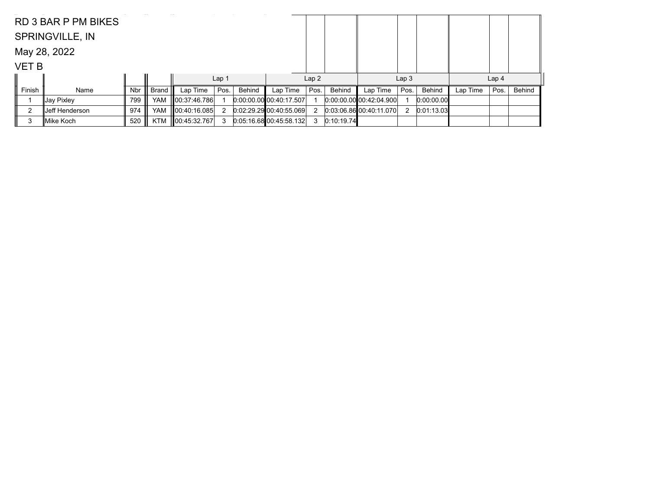|              | RD 3 BAR P PM BIKES    |     |              |              |                  |        |                                 |      |            |                              |                  |               |          |                  |        |
|--------------|------------------------|-----|--------------|--------------|------------------|--------|---------------------------------|------|------------|------------------------------|------------------|---------------|----------|------------------|--------|
|              | <b>SPRINGVILLE, IN</b> |     |              |              |                  |        |                                 |      |            |                              |                  |               |          |                  |        |
|              | May 28, 2022           |     |              |              |                  |        |                                 |      |            |                              |                  |               |          |                  |        |
| <b>VET B</b> |                        |     |              |              |                  |        |                                 |      |            |                              |                  |               |          |                  |        |
|              |                        |     |              |              | Lap <sub>1</sub> |        |                                 | Lap2 |            |                              | Lap <sub>3</sub> |               |          | Lap <sub>4</sub> |        |
| Finish       | Name                   | Nbr | <b>Brand</b> | Lap Time     | Pos.             | Behind | Lap Time                        | Pos. | Behind     | Lap Time                     | Pos.             | <b>Behind</b> | Lap Time | Pos.             | Behind |
|              | ∥Jay Pixley            | 799 | <b>YAM</b>   | 00:37:46.786 |                  |        | $[0:00:00.00]$ $[00:40:17.507]$ |      |            | $[0.00.00, 00]$ 00:42:04.900 |                  | 0:00:00.00    |          |                  |        |
| c            | IJeff Henderson⊹       | 974 | <b>YAM</b>   | 00:40:16.085 |                  |        | 0.02:29.29 00:40:55.069         | 2    |            | 0.03.06.86 00.40.11.070      | 2                | 0:01:13.03    |          |                  |        |
| 3            | lMike Koch             | 520 | KTM          | 00:45:32.767 | 3                |        | 0.05:16.68000:45:58.132         | 3    | 0:10:19.74 |                              |                  |               |          |                  |        |
|              |                        |     |              |              |                  |        |                                 |      |            |                              |                  |               |          |                  |        |